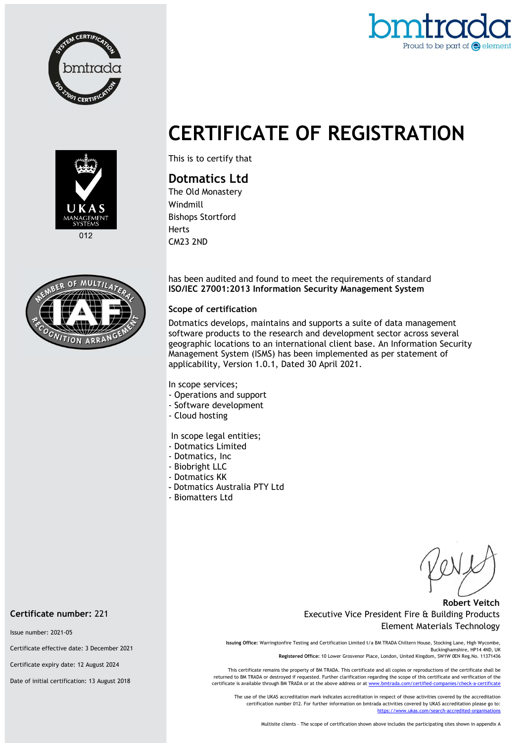



# CERTIFICATE OF REGISTRATION





This is to certify that

## Dotmatics Ltd

The Old Monastery Windmill Bishops Stortford Herts CM23 2ND

has been audited and found to meet the requirements of standard ISO/IEC 27001:2013 Information Security Management System

#### Scope of certification

Dotmatics develops, maintains and supports a suite of data management software products to the research and development sector across several geographic locations to an international client base. An Information Security Management System (ISMS) has been implemented as per statement of applicability, Version 1.0.1, Dated 30 April 2021.

In scope services;

- Operations and support
- Software development
- Cloud hosting

In scope legal entities;

- Dotmatics Limited
- Dotmatics, Inc
- Biobright LLC
- Dotmatics KK
- Dotmatics Australia PTY Ltd
- Biomatters Ltd

#### Robert Veitch Executive Vice President Fire & Building Products Element Materials Technology

Issuing Office: Warringtonfire Testing and Certification Limited t/a BM TRADA Chiltern House, Stocking Lane, High Wycombe, Buckinghamshire, HP14 4ND, UK

Registered Office: 10 Lower Grosvenor Place, London, United Kingdom, SW1W 0EN Reg.No. 11371436

This certificate remains the property of BM TRADA. This certificate and all copies or reproductions of the certificate shall be returned to BM TRADA or destroyed if requested. Further clarification regarding the scope of this certificate and verification of the certificate is available through BM TRADA or at the above address or at w

The use of the UKAS accreditation mark indicates accreditation in respect of those activities covered by the accreditation certification number 012. For further information on bmtrada activities covered by UKAS accreditation please go to: https://www.ukas.com/search-accredited-organisations

Multisite clients – The scope of certification shown above includes the participating sites shown in appendix A

Certificate number: 221

Issue number: 2021-05

Certificate effective date: 3 December 2021

Certificate expiry date: 12 August 2024

Date of initial certification: 13 August 2018